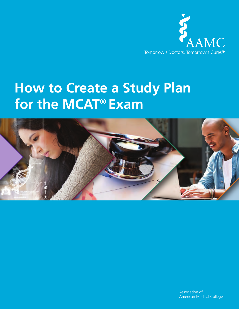

# **How to Create a Study Plan for the MCAT® Exam**

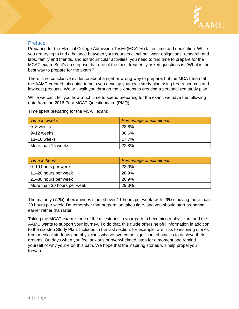

#### Preface

Preparing for the Medical College Admission Test® (MCAT®) takes time and dedication. While you are trying to find a balance between your courses at school, work obligations, research and labs, family and friends, and extracurricular activities, you need to find time to prepare for the MCAT exam. So it's no surprise that one of the most frequently asked questions is, "What is the best way to prepare for the exam?"

There is no conclusive evidence about a right or wrong way to prepare, but the MCAT team at the AAMC created this guide to help you develop your own study plan using free resources and low-cost products. We will walk you through the six steps to creating a personalized study plan.

While we can't tell you how much time to spend preparing for the exam, we have the following data from the 2016 Post-MCAT Questionnaire (PMQ):

| Time in weeks      | Percentage of examinees |
|--------------------|-------------------------|
| 0–8 weeks          | 28.8%                   |
| 9–12 weeks         | 30.6%                   |
| 13–16 weeks        | 17.7%                   |
| More than 16 weeks | 22.8%                   |

Time spent preparing for the MCAT exam:

| Time in hours               | Percentage of examinees |
|-----------------------------|-------------------------|
| 0–10 hours per week         | 23.0%                   |
| 11-20 hours per week        | 26.9%                   |
| 21-30 hours per week        | 20.9%                   |
| More than 30 hours per week | 29.3%                   |

The majority (77%) of examinees studied over 11 hours per week, with 29% studying more than 30 hours per week. Do remember that preparation takes time, and you should start preparing earlier rather than later.

Taking the MCAT exam is one of the milestones in your path to becoming a physician, and the AAMC wants to support your journey. To do that, this guide offers helpful information in addition to the six-step Study Plan. Included in the last section, for example, are links to inspiring stories from medical students and physicians who've overcome significant obstacles to achieve their dreams. On days when you feel anxious or overwhelmed, stop for a moment and remind yourself of why you're on this path. We hope that the inspiring stories will help propel you forward!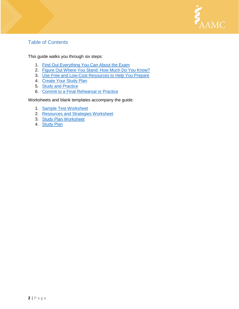

## Table of Contents

This guide walks you through six steps:

- 1. [Find Out Everything You Can About the Exam](#page-2-0)
- 2. [Figure Out Where You Stand: How Much Do You Know?](#page-6-0)
- 3. Use Free [and Low-Cost Resources to](#page-8-0) Help You Prepare
- 4. [Create Your Study Plan](#page-11-0)
- 5. [Study and Practice](#page-12-0)
- 6. [Commit to a Final Rehearsal or Practice](#page-13-0)

<span id="page-2-0"></span>Worksheets and blank templates accompany the guide:

- 1. [Sample Test Worksheet](#page-18-0)
- 2. [Resources and Strategies Worksheet](#page-20-0)
- 3. [Study Plan Worksheet](#page-22-0)
- 4. [Study Plan](#page-25-0)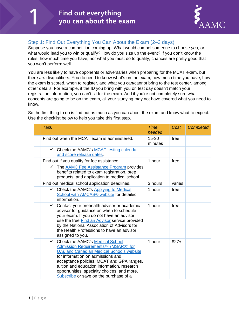

## Step 1: Find Out Everything You Can About the Exam (2–3 days)

Suppose you have a competition coming up. What would compel someone to choose *you*, or what would lead you to win or qualify? How do you size up the event? If you don't know the rules, how much time you have, nor what you must do to qualify, chances are pretty good that you won't perform well.

You are less likely to have opponents or adversaries when preparing for the MCAT exam, but there *are* disqualifiers. You do need to know what's on the exam, how much time you have, how the exam is scored, when to register, and what you can/cannot bring to the test center, among other details. For example, if the ID you bring with you on test day doesn't match your registration information, you can't sit for the exam. And if you're not completely sure what concepts are going to be on the exam, all your studying may not have covered what you need to know.

So the first thing to do is find out as much as you can about the exam and know what to expect. Use the checklist below to help you take this first step.

| <b>Task</b>                                                                                                                                                                                                                                                                                                                                                                      | <b>Time</b><br>needed | Cost   | <b>Completed</b> |
|----------------------------------------------------------------------------------------------------------------------------------------------------------------------------------------------------------------------------------------------------------------------------------------------------------------------------------------------------------------------------------|-----------------------|--------|------------------|
| Find out when the MCAT exam is administered.                                                                                                                                                                                                                                                                                                                                     | 15-30<br>minutes      | free   |                  |
| ← Check the AAMC's MCAT testing calendar<br>and score release dates.                                                                                                                                                                                                                                                                                                             |                       |        |                  |
| Find out if you qualify for fee assistance.                                                                                                                                                                                                                                                                                                                                      | 1 hour                | free   |                  |
| The AAMC Fee Assistance Program provides<br>$\checkmark$<br>benefits related to exam registration, prep<br>products, and application to medical school.                                                                                                                                                                                                                          |                       |        |                  |
| Find out medical school application deadlines.                                                                                                                                                                                                                                                                                                                                   | 3 hours               | varies |                  |
| Check the AAMC's Applying to Medical<br><b>School with AMCAS® website for detailed</b><br>information.                                                                                                                                                                                                                                                                           | 1 hour                | free   |                  |
| Contact your prehealth advisor or academic<br>$\checkmark$<br>advisor for guidance on when to schedule<br>your exam. If you do not have an advisor,<br>use the free Find an Advisor service provided<br>by the National Association of Advisors for<br>the Health Professions to have an advisor<br>assigned to you.                                                             | 1 hour                | free   |                  |
| Check the AAMC's Medical School<br>$\checkmark$<br>Admission Requirements <sup>™</sup> (MSAR®) for<br><b>U.S. and Canadian Medical Schools website</b><br>for information on admissions and<br>acceptance policies, MCAT and GPA ranges,<br>tuition and education information, research<br>opportunities, specialty choices, and more.<br>Subscribe or save on the purchase of a | 1 hour                | $$27+$ |                  |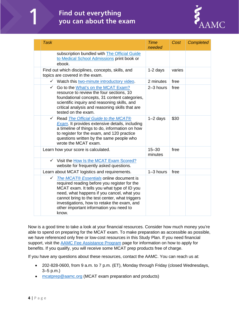# **Find out everything** you can about the exam



| <b>Task</b>                                                                                                                                                                                                                                                                                                                                    | <b>Time</b><br>needed | Cost   | <b>Completed</b> |
|------------------------------------------------------------------------------------------------------------------------------------------------------------------------------------------------------------------------------------------------------------------------------------------------------------------------------------------------|-----------------------|--------|------------------|
| subscription bundled with The Official Guide<br>to Medical School Admissions print book or<br>ebook.                                                                                                                                                                                                                                           |                       |        |                  |
| Find out which disciplines, concepts, skills, and<br>topics are covered in the exam.                                                                                                                                                                                                                                                           | $1-2$ days            | varies |                  |
| $\checkmark$ Watch this two-minute introductory video.                                                                                                                                                                                                                                                                                         | 2 minutes             | free   |                  |
| Go to the What's on the MCAT Exam?<br>$\checkmark$<br>resource to review the four sections, 10<br>foundational concepts, 31 content categories,<br>scientific inquiry and reasoning skills, and<br>critical analysis and reasoning skills that are<br>tested on the exam.                                                                      | 2-3 hours             | free   |                  |
| $\checkmark$<br>Read The Official Guide to the MCAT®<br>Exam. It provides extensive details, including<br>a timeline of things to do, information on how<br>to register for the exam, and 120 practice<br>questions written by the same people who<br>wrote the MCAT exam.                                                                     | $1-2$ days            | \$30   |                  |
| Learn how your score is calculated.                                                                                                                                                                                                                                                                                                            | $15 - 30$<br>minutes  | free   |                  |
| V Visit the How Is the MCAT Exam Scored?<br>website for frequently asked questions.                                                                                                                                                                                                                                                            |                       |        |                  |
| Learn about MCAT logistics and requirements.                                                                                                                                                                                                                                                                                                   | $1-3$ hours           | free   |                  |
| The MCAT® Essentials online document is<br>✓<br>required reading before you register for the<br>MCAT exam. It tells you what type of ID you<br>need, what happens if you cancel, what you<br>cannot bring to the test center, what triggers<br>investigations, how to retake the exam, and<br>other important information you need to<br>know. |                       |        |                  |

Now is a good time to take a look at your financial resources. Consider how much money you're able to spend on preparing for the MCAT exam. To make preparation as accessible as possible, we have referenced only free or low-cost resources in this Study Plan. If you need financial support, visit the **AAMC** Fee Assistance Program page for information on how to apply for benefits. If you qualify, you will receive some MCAT prep products free of charge.

If you have any questions about these resources, contact the AAMC. You can reach us at:

- 202-828-0600, from 9 a.m. to 7 p.m. (ET), Monday through Friday (closed Wednesdays, 3–5 p.m.)
- [mcatprep@aamc.org](mailto:mcatprep@aamc.org) (MCAT exam preparation and products)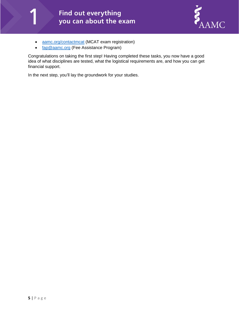# Find out everything you can about the exam



- [aamc.org/contactmcat](mailto:mcat@aamc.org) (MCAT exam registration)
- [fap@aamc.org](mailto:fap@aamc.org) (Fee Assistance Program)

Congratulations on taking the first step! Having completed these tasks, you now have a good idea of what disciplines are tested, what the logistical requirements are, and how you can get financial support.

In the next step, you'll lay the groundwork for your studies.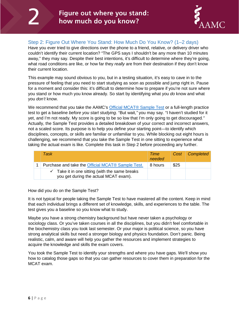

## <span id="page-6-0"></span>Step 2: Figure Out Where You Stand: How Much Do You Know? (1–2 days)

Have you ever tried to give directions over the phone to a friend, relative, or delivery driver who couldn't identify their current location? "The GPS says I shouldn't be any more than 10 minutes away," they may say. Despite their best intentions, it's difficult to determine where they're going, what road conditions are like, or how far they *really* are from their destination if they don't know their current location.

This example may sound obvious to you, but in a testing situation, it's easy to cave in to the pressure of feeling that you need to start studying as soon as possible and jump right in. Pause for a moment and consider this: it's difficult to determine how to prepare if you're not sure where you stand or how much you know already. So start by identifying what you *do* know and what you *don't* know.

We recommend that you take the AAMC's [Official MCAT® Sample Test](https://members.aamc.org/eweb/DynamicPage.aspx?Action=Add&ObjectKeyFrom=1A83491A-9853-4C87-86A4-F7D95601C2E2&WebCode=ProdDetailAdd&DoNotSave=yes&ParentObject=CentralizedOrderEntry&ParentDataObject=Invoice%20Detail&ivd_formkey=69202792-63d7-4ba2-bf4e-a0da41270555&ivd_prc_prd_key=A989862D-11E9-40C2-B745-9DF7FB4D269B) or a full-length practice test to get a baseline *before you start studying*. "But wait,*"* you may say. "I haven't studied for it yet, and I'm not ready. My score is going to be so low that I'm only going to get discouraged*."* Actually, the Sample Test provides a detailed breakdown of your correct and incorrect answers, not a scaled score. Its purpose is to help you define your starting point—to identify which disciplines, concepts, or skills are familiar or unfamiliar to you. While blocking out eight hours is challenging, we recommend that you take the Sample Test in one sitting to experience what taking the actual exam is like. Complete this task in Step 2 before proceeding any further.

| Task                                                                                               | Time<br>needed | $Cost \mid$ | Completed |
|----------------------------------------------------------------------------------------------------|----------------|-------------|-----------|
| Purchase and take the Official MCAT® Sample Test.                                                  | 8 hours        | \$25        |           |
| $\checkmark$ Take it in one sitting (with the same breaks<br>you get during the actual MCAT exam). |                |             |           |

#### How did you do on the Sample Test?

It is not typical for people taking the Sample Test to have mastered all the content. Keep in mind that each individual brings a different set of knowledge, skills, and experiences to the table. The test gives you a baseline so you know what to study.

Maybe you have a strong chemistry background but have never taken a psychology or sociology class. Or you've taken courses in all the disciplines, but you didn't feel comfortable in the biochemistry class you took last semester. Or your major is political science, so you have strong analytical skills but need a stronger biology and physics foundation. Don't panic. Being realistic, calm, and aware will help you gather the resources and implement strategies to acquire the knowledge and skills the exam covers.

You took the Sample Test to identify your strengths and where you have gaps. We'll show you how to catalog those gaps so that you can gather resources to cover them in preparation for the MCAT exam.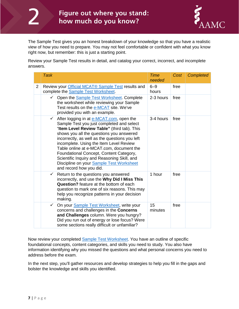

The Sample Test gives you an honest breakdown of your knowledge so that you have a realistic view of how you need to prepare. You may not feel comfortable or confident with what you know right now, but remember: this is just a starting point.

Review your Sample Test results in detail, and catalog your correct, incorrect, and incomplete answers.

|                | <b>Task</b>                                                                                                                                                                                                                                                                                                                                                                                                                                                                                                | <b>Time</b><br>needed | Cost | <b>Completed</b> |
|----------------|------------------------------------------------------------------------------------------------------------------------------------------------------------------------------------------------------------------------------------------------------------------------------------------------------------------------------------------------------------------------------------------------------------------------------------------------------------------------------------------------------------|-----------------------|------|------------------|
| $\overline{2}$ | Review your Official MCAT® Sample Test results and<br>complete the Sample Test Worksheet.                                                                                                                                                                                                                                                                                                                                                                                                                  | $6 - 9$<br>hours      | free |                  |
|                | Open the <b>Sample Test Worksheet</b> . Complete<br>$\checkmark$<br>the worksheet while reviewing your Sample<br>Test results on the e-MCAT site. We've<br>provided you with an example.                                                                                                                                                                                                                                                                                                                   | 2-3 hours             | free |                  |
|                | After logging in at e-MCAT.com, open the<br>$\checkmark$<br>Sample Test you just completed and select<br>"Item Level Review Table" (third tab). This<br>shows you all the questions you answered<br>incorrectly, as well as the questions you left<br>incomplete. Using the Item Level Review<br>Table online at e-MCAT.com, document the<br>Foundational Concept, Content Category,<br>Scientific Inquiry and Reasoning Skill, and<br>Discipline on your Sample Test Worksheet<br>and record how you did. | 3-4 hours             | free |                  |
|                | Return to the questions you answered<br>$\checkmark$<br>incorrectly, and use the Why Did I Miss This<br><b>Question?</b> feature at the bottom of each<br>question to mark one of six reasons. This may<br>help you recognize patterns in your decision<br>making.                                                                                                                                                                                                                                         | 1 hour                | free |                  |
|                | On your Sample Test Worksheet, write your<br>$\checkmark$<br>concerns and challenges in the Concerns<br>and Challenges column. Were you hungry?<br>Did you run out of energy or lose focus? Were<br>some sections really difficult or unfamiliar?                                                                                                                                                                                                                                                          | 15<br>minutes         | free |                  |

Now review your completed **Sample Test Worksheet**. You have an outline of specific foundational concepts, content categories, and skills you need to study. You also have information identifying why you missed the questions and what personal concerns you need to address before the exam.

In the next step, you'll gather resources and develop strategies to help you fill in the gaps and bolster the knowledge and skills you identified.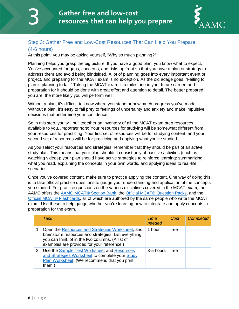

## <span id="page-8-0"></span>Step 3: Gather Free and Low-Cost Resources That Can Help You Prepare

#### (4-6 hours)

At this point, you may be asking yourself, "Why so much planning?"

Planning helps you grasp the big picture. If you have a good plan, you know what to expect. You've accounted for gaps, concerns, and risks up front so that you have a plan or strategy to address them and avoid being blindsided. A lot of planning goes into every important event or project, and preparing for the MCAT exam is no exception. As the old adage goes, "Failing to plan is planning to fail." Taking the MCAT exam is a milestone in your future career, and preparation for it should be done with great effort and attention to detail. The better prepared you are, the more likely you will perform well.

Without a plan, it's difficult to know where you stand or how much progress you've made. Without a plan, it's easy to fall prey to feelings of uncertainty and anxiety and make impulsive decisions that undermine your confidence.

So in this step, you will pull together an inventory of all the MCAT exam prep resources available to you. *Important note*: Your resources for studying will be somewhat different from your resources for practicing. Your first set of resources will be for studying content, and your second set of resources will be for practicing and applying what you've studied.

As you select your resources and strategies, remember that they should be part of an *active* study plan. This means that your plan shouldn't consist only of passive activities (such as watching videos); your plan should have active strategies to reinforce learning: summarizing what you read, explaining the concepts in your own words, and applying ideas to real-life scenarios.

Once you've covered content, make sure to practice applying the content. One way of doing this is to take official practice questions to gauge your understanding and application of the concepts you studied. For practice questions on the various disciplines covered in the MCAT exam, the AAMC offers the [AAMC MCAT®](https://members.aamc.org/eweb/DynamicPage.aspx?Action=Add&ObjectKeyFrom=1A83491A-9853-4C87-86A4-F7D95601C2E2&WebCode=ProdDetailAdd&DoNotSave=yes&ParentObject=CentralizedOrderEntry&ParentDataObject=Invoice%20Detail&ivd_formkey=69202792-63d7-4ba2-bf4e-a0da41270555&ivd_prc_prd_key=D822ED6A-8F18-406C-B82F-72B15DA1E555) Section Bank, the [Official MCAT® Question Packs,](https://members.aamc.org/eweb/DynamicPage.aspx?Action=Add&ObjectKeyFrom=1A83491A-9853-4C87-86A4-F7D95601C2E2&WebCode=ProdDetailAdd&DoNotSave=yes&ParentObject=CentralizedOrderEntry&ParentDataObject=Invoice%20Detail&ivd_formkey=69202792-63d7-4ba2-bf4e-a0da41270555&ivd_cst_key=4894744d-9c71-4d9b-b605-0eed1dbb983d&ivd_cst_ship_key=4894744d-9c71-4d9b-b605-0eed1dbb983d&ivd_prc_prd_key=A00AC1ED-66D8-4F95-B72D-F727BF88F9E4) and the [Official MCAT® Flashcards,](https://members.aamc.org/eweb/DynamicPage.aspx?Action=Add&ObjectKeyFrom=1A83491A-9853-4C87-86A4-F7D95601C2E2&WebCode=ProdDetailAdd&DoNotSave=yes&ParentObject=CentralizedOrderEntry&ParentDataObject=Invoice%20Detail&ivd_formkey=69202792-63d7-4ba2-bf4e-a0da41270555&ivd_prc_prd_key=0DB622E7-A3EC-4254-A6A0-3179CE96B3C0) all of which are authored by the same people who write the MCAT exam. Use these to help gauge whether you're learning how to integrate and apply concepts in preparation for the exam.

|   | <b>Task</b>                                                                                                                                                                                               | Time<br>needed | Cost | <b>Completed</b> |
|---|-----------------------------------------------------------------------------------------------------------------------------------------------------------------------------------------------------------|----------------|------|------------------|
|   | Open the Resources and Strategies Worksheet, and<br>brainstorm resources and strategies. List everything<br>you can think of in the two columns. (A list of<br>examples are provided for your reference.) | 1 hour         | free |                  |
| 2 | Use the Sample Test Worksheet and Resources<br>and Strategies Worksheet to complete your Study<br>Plan Worksheet. (We recommend that you print<br>them.)                                                  | 3-5 hours      | free |                  |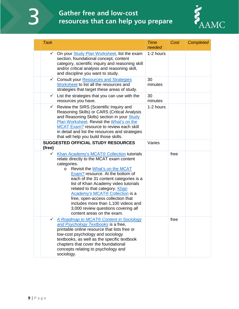3

# **Gather free and low-cost** resources that can help you prepare



| <b>Task</b>  |                                                                                                                                                                                                                                                                                                                                                                                                                                                                                               | <b>Time</b><br>needed | Cost | <b>Completed</b> |
|--------------|-----------------------------------------------------------------------------------------------------------------------------------------------------------------------------------------------------------------------------------------------------------------------------------------------------------------------------------------------------------------------------------------------------------------------------------------------------------------------------------------------|-----------------------|------|------------------|
|              | ← On your Study Plan Worksheet, list the exam<br>section, foundational concept, content<br>category, scientific inquiry and reasoning skill<br>and/or critical analysis and reasoning skill,<br>and discipline you want to study.                                                                                                                                                                                                                                                             | 1-2 hours             |      |                  |
| ✓            | <b>Consult your Resources and Strategies</b><br>Worksheet to list all the resources and<br>strategies that target these areas of study.                                                                                                                                                                                                                                                                                                                                                       | 30<br>minutes         |      |                  |
| $\checkmark$ | List the strategies that you can use with the<br>resources you have.                                                                                                                                                                                                                                                                                                                                                                                                                          | 30<br>minutes         |      |                  |
| $\checkmark$ | Review the SIRS (Scientific Inquiry and<br>Reasoning Skills) or CARS (Critical Analysis<br>and Reasoning Skills) section in your Study<br>Plan Worksheet. Revisit the What's on the<br>MCAT Exam? resource to review each skill<br>in detail and list the resources and strategies<br>that will help you build those skills.                                                                                                                                                                  | 1-2 hours             |      |                  |
| (free)       | <b>SUGGESTED OFFICIAL STUDY RESOURCES</b>                                                                                                                                                                                                                                                                                                                                                                                                                                                     | Varies                |      |                  |
| ✓            | Khan Academy's MCAT® Collection tutorials<br>relate directly to the MCAT exam content<br>categories.<br>Revisit the What's on the MCAT<br>$\circ$<br>Exam? resource. At the bottom of<br>each of the 31 content categories is a<br>list of Khan Academy video tutorials<br>related to that category. Khan<br>Academy's MCAT® Collection is a<br>free, open-access collection that<br>includes more than 1,100 videos and<br>3,000 review questions covering all<br>content areas on the exam. |                       | free |                  |
| ✓            | A Roadmap to MCAT® Content in Sociology<br>and Psychology Textbooks is a free,<br>printable online resource that lists free or<br>low-cost psychology and sociology<br>textbooks, as well as the specific textbook<br>chapters that cover the foundational<br>concepts relating to psychology and<br>sociology.                                                                                                                                                                               |                       | free |                  |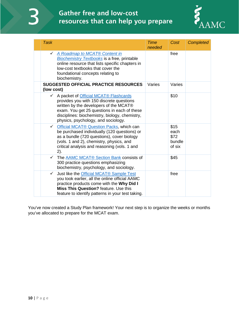3

# **Gather free and low-cost** resources that can help you prepare



| <b>Task</b>                                                                                                                                                                                                                                                           | <b>Time</b><br>needed | Cost                                     | <b>Completed</b> |
|-----------------------------------------------------------------------------------------------------------------------------------------------------------------------------------------------------------------------------------------------------------------------|-----------------------|------------------------------------------|------------------|
| A Roadmap to MCAT® Content in<br>$\checkmark$<br><b>Biochemistry Textbooks is a free, printable</b><br>online resource that lists specific chapters in<br>low-cost textbooks that cover the<br>foundational concepts relating to<br>biochemistry.                     |                       | free                                     |                  |
| <b>SUGGESTED OFFICIAL PRACTICE RESOURCES</b><br>(low cost)                                                                                                                                                                                                            | Varies                | Varies                                   |                  |
| ← A packet of Official MCAT® Flashcards<br>provides you with 150 discrete questions<br>written by the developers of the MCAT®<br>exam. You get 25 questions in each of these<br>disciplines: biochemistry, biology, chemistry,<br>physics, psychology, and sociology. |                       | \$10                                     |                  |
| ← Official MCAT® Question Packs, which can<br>be purchased individually (120 questions) or<br>as a bundle (720 questions), cover biology<br>(vols. 1 and 2), chemistry, physics, and<br>critical analysis and reasoning (vols. 1 and<br>2).                           |                       | \$15<br>each<br>\$72<br>bundle<br>of six |                  |
| The AAMC MCAT® Section Bank consists of<br>$\checkmark$<br>300 practice questions emphasizing<br>biochemistry, psychology, and sociology.                                                                                                                             |                       | \$45                                     |                  |
| $\checkmark$<br>Just like the Official MCAT® Sample Test<br>you took earlier, all the online official AAMC<br>practice products come with the Why Did I<br><b>Miss This Question?</b> feature, Use this<br>feature to identify patterns in your test taking.          |                       | free                                     |                  |

You've now created a Study Plan framework! Your next step is to organize the weeks or months you've allocated to prepare for the MCAT exam.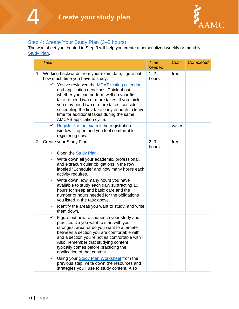

#### <span id="page-11-0"></span>Step 4: Create Your Study Plan (3–5 hours)

The worksheet you created in Step 3 will help you create a personalized weekly or monthly **[Study Plan.](#page-25-0)** 

|                | <b>Task</b>                                                                                                                                                                                                                                                                                                                                                          | <b>Time</b><br>needed | Cost   | <b>Completed</b> |
|----------------|----------------------------------------------------------------------------------------------------------------------------------------------------------------------------------------------------------------------------------------------------------------------------------------------------------------------------------------------------------------------|-----------------------|--------|------------------|
| 1              | Working backwards from your exam date, figure out<br>how much time you have to study.                                                                                                                                                                                                                                                                                | $1 - 2$<br>hours      | free   |                  |
|                | ← You've reviewed the MCAT testing calendar<br>and application deadlines. Think about<br>whether you can perform well on your first<br>take or need two or more takes. If you think<br>you may need two or more takes, consider<br>scheduling the first take early enough to leave<br>time for additional takes during the same<br>AMCAS application cycle.          |                       |        |                  |
|                | Register for the exam if the registration<br>$\checkmark$<br>window is open and you feel comfortable<br>registering now.                                                                                                                                                                                                                                             |                       | varies |                  |
| $\overline{2}$ | Create your Study Plan.                                                                                                                                                                                                                                                                                                                                              | $2 - 3$<br>hours      | free   |                  |
|                | $\checkmark$ Open the Study Plan.                                                                                                                                                                                                                                                                                                                                    |                       |        |                  |
|                | $\checkmark$ Write down all your academic, professional,<br>and extracurricular obligations in the row<br>labeled "Schedule" and how many hours each<br>activity requires.                                                                                                                                                                                           |                       |        |                  |
|                | $\checkmark$ Write down how many hours you have<br>available to study each day, subtracting 10<br>hours for sleep and basic care and the<br>number of hours needed for the obligations<br>you listed in the task above.                                                                                                                                              |                       |        |                  |
|                | Identify the areas you want to study, and write<br>✓<br>them down.                                                                                                                                                                                                                                                                                                   |                       |        |                  |
|                | Figure out how to sequence your study and<br>$\checkmark$<br>practice. Do you want to start with your<br>strongest area, or do you want to alternate<br>between a section you are comfortable with<br>and a section you're not as comfortable with?<br>Also, remember that studying content<br>typically comes before practicing the<br>application of that content. |                       |        |                  |
|                | Using your Study Plan Worksheet from the<br>previous step, write down the resources and<br>strategies you'll use to study content. Also                                                                                                                                                                                                                              |                       |        |                  |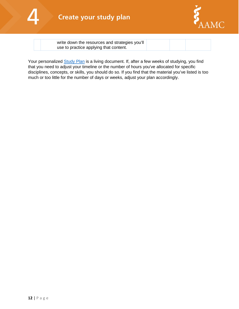

<span id="page-12-0"></span>

write down the resources and strategies you'll use to practice applying that content.

Your personalized [Study Plan](#page-25-0) is a living document. If, after a few weeks of studying, you find that you need to adjust your timeline or the number of hours you've allocated for specific disciplines, concepts, or skills, you should do so. If you find that the material you've listed is too much or too little for the number of days or weeks, adjust your plan accordingly.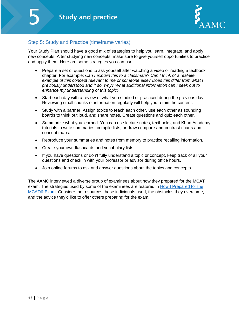

## Step 5: Study and Practice (timeframe varies)

Your Study Plan should have a good mix of strategies to help you learn, integrate, and apply new concepts. After studying new concepts, make sure to give yourself opportunities to practice and apply them. Here are some strategies you can use:

- Prepare a set of questions to ask yourself after watching a video or reading a textbook chapter. For example: *Can I explain this to a classmate*? *Can I think of a real-life example of this concept relevant to me or someone else? Does this differ from what I previously understood and if so, why? What additional information can I seek out to enhance my understanding of this topic?*
- Start each day with a review of what you studied or practiced during the previous day. Reviewing small chunks of information regularly will help you retain the content.
- Study with a partner. Assign topics to teach each other, use each other as sounding boards to think out loud, and share notes. Create questions and quiz each other.
- Summarize what you learned. You can use lecture notes, textbooks, and Khan Academy tutorials to write summaries, compile lists, or draw compare-and-contrast charts and concept maps.
- Reproduce your summaries and notes from memory to practice recalling information.
- Create your own flashcards and vocabulary lists.
- If you have questions or don't fully understand a topic or concept, keep track of all your questions and check in with your professor or advisor during office hours.
- Join online forums to ask and answer questions about the topics and concepts.

<span id="page-13-0"></span>The AAMC interviewed a diverse group of examinees about how they prepared for the MCAT exam. The strategies used by some of the examinees are featured in **How I Prepared for the** [MCAT® Exam.](https://students-residents.aamc.org/applying-medical-school/taking-mcat-exam/how-i-prepared-mcat-exam/) Consider the resources these individuals used, the obstacles they overcame, and the advice they'd like to offer others preparing for the exam.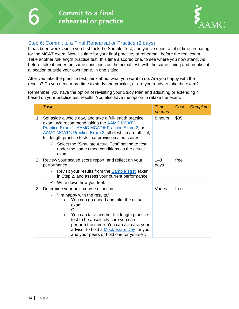

## Step 6: Commit to a Final Rehearsal or Practice (2 days)

It has been weeks since you first took the Sample Test, and you've spent a lot of time preparing for the MCAT exam. Now it's time for your final practice, or rehearsal, before the real exam. Take another full-length practice test, this time a scored one, to see where you now stand. As before, take it under the same conditions as the actual test: with the same timing and breaks, at a location outside your own home, in one sitting.

After you take the practice test, think about what you want to do. Are you happy with the results? Do you need more time to study and practice, or are you ready to take the exam?

Remember, you have the option of revisiting your Study Plan and adjusting or extending it based on your practice test results. You also have the option to retake the exam.

|                | <b>Task</b>                                                                                                                                                                                                                                                                                                                                  | <b>Time</b><br>needed | Cost | Complete |
|----------------|----------------------------------------------------------------------------------------------------------------------------------------------------------------------------------------------------------------------------------------------------------------------------------------------------------------------------------------------|-----------------------|------|----------|
| 1              | Set aside a whole day, and take a full-length practice<br>exam. We recommend taking the AAMC MCAT®<br>Practice Exam 1, AAMC MCAT® Practice Exam 2, or<br>AAMC MCAT® Practice Exam 3, all of which are official,<br>full-length practice tests that provide scaled scores.                                                                    | 8 hours               | \$35 |          |
|                | $\checkmark$ Select the "Simulate Actual Test" setting to test<br>under the same timed conditions as the actual<br>exam.                                                                                                                                                                                                                     |                       |      |          |
| $\overline{2}$ | Review your scaled score report, and reflect on your<br>performance.                                                                                                                                                                                                                                                                         | $1 - 3$<br>days       | free |          |
|                | ← Revisit your results from the <b>Sample Test</b> , taken<br>in Step 2, and assess your current performance.                                                                                                                                                                                                                                |                       |      |          |
|                | $\checkmark$ Write down how you feel.                                                                                                                                                                                                                                                                                                        |                       |      |          |
| 3              | Determine your next course of action.                                                                                                                                                                                                                                                                                                        | Varies                | free |          |
|                | $\checkmark$ "I'm happy with the results."<br>You can go ahead and take the actual<br>$\circ$<br>exam.<br>Or<br>You can take another full-length practice<br>$\circ$<br>test to be absolutely sure you can<br>perform the same. You can also ask your<br>advisor to hold a Mock Exam Day for you<br>and your peers or hold one for yourself. |                       |      |          |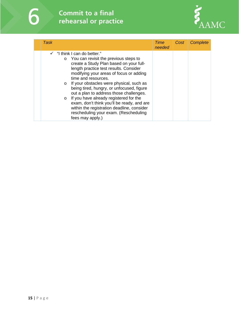# **Commit to a final** rehearsal or practice



| Task                                                                                                                                                                                                                                                                                                                                                                                                                                                                                                                                                                                                            | Time<br>needed | <b>Cost</b> | <b>Complete</b> |
|-----------------------------------------------------------------------------------------------------------------------------------------------------------------------------------------------------------------------------------------------------------------------------------------------------------------------------------------------------------------------------------------------------------------------------------------------------------------------------------------------------------------------------------------------------------------------------------------------------------------|----------------|-------------|-----------------|
| $\checkmark$ "I think I can do better."<br>You can revisit the previous steps to<br>$\circ$<br>create a Study Plan based on your full-<br>length practice test results. Consider<br>modifying your areas of focus or adding<br>time and resources.<br>If your obstacles were physical, such as<br>$\circ$<br>being tired, hungry, or unfocused, figure<br>out a plan to address those challenges.<br>If you have already registered for the<br>$\circ$<br>exam, don't think you'll be ready, and are<br>within the registration deadline, consider<br>rescheduling your exam. (Rescheduling<br>fees may apply.) |                |             |                 |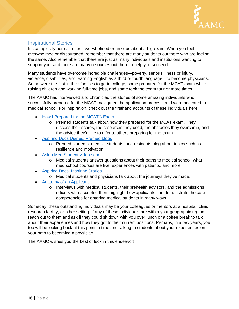

## Inspirational Stories

It's completely normal to feel overwhelmed or anxious about a big exam. When you feel overwhelmed or discouraged, remember that there are many students out there who are feeling the same. Also remember that there are just as many individuals and institutions wanting to support you, and there are many resources out there to help you succeed.

Many students have overcome incredible challenges—poverty, serious illness or injury, violence, disabilities, and learning English as a third or fourth language—to become physicians. Some were the first in their families to go to college, some prepared for the MCAT exam while raising children and working full-time jobs, and some took the exam four or more times.

The AAMC has interviewed and chronicled the stories of some amazing individuals who successfully prepared for the MCAT, navigated the application process, and were accepted to medical school. For inspiration, check out the firsthand accounts of these individuals here:

- [How I Prepared for the MCAT®](https://students-residents.aamc.org/applying-medical-school/taking-mcat-exam/how-i-prepared-mcat-exam/) Exam
	- o Premed students talk about how they prepared for the MCAT exam. They discuss their scores, the resources they used, the obstacles they overcame, and the advice they'd like to offer to others preparing for the exam.
- [Aspiring Docs Diaries: Premed blogs](http://aspiringdocsdiaries.org/category/premed/)
	- o Premed students, medical students, and residents blog about topics such as resilience and motivation.
- [Ask a Med Student video series](https://students-residents.aamc.org/choosing-medical-career/medical-school-101/what-medical-school-really/ask-med-student-video-series/)
	- o Medical students answer questions about their paths to medical school, what med school courses are like, experiences with patients, and more.
- **[Aspiring Docs: Inspiring Stories](https://students-residents.aamc.org/choosing-medical-career/medical-careers/inspiring-stories/)** 
	- o Medical students and physicians talk about the journeys they've made.
- [Anatomy of an Applicant](https://students-residents.aamc.org/applying-medical-school/preparing-med-school/anatomy-applicant/)
	- $\circ$  Interviews with medical students, their prehealth advisors, and the admissions officers who accepted them highlight how applicants can demonstrate the core competencies for entering medical students in many ways.

Someday, these outstanding individuals may be your colleagues or mentors at a hospital, clinic, research facility, or other setting. If any of these individuals are within your geographic region, reach out to them and ask if they could sit down with you over lunch or a coffee break to talk about their experiences and how they got to their current positions. Perhaps, in a few years, you too will be looking back at this point in time and talking to students about your experiences on your path to becoming a physician!

The AAMC wishes you the best of luck in this endeavor!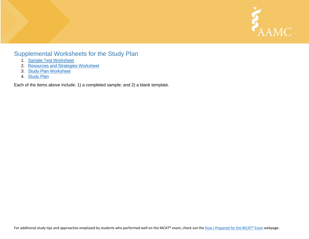

# Supplemental Worksheets for the Study Plan

- 1. [Sample Test Worksheet](#page-18-1)
- 2. [Resources and Strategies Worksheet](#page-20-1)
- 3. [Study Plan Worksheet](#page-22-1)
- 4. [Study Plan](#page-25-1)

Each of the items above include: 1) a completed sample; and 2) a blank template.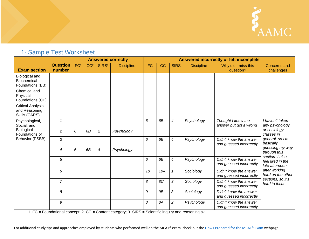

# <span id="page-18-1"></span>1- Sample Test Worksheet

<span id="page-18-0"></span>

|                                                            |                           | <b>Answered correctly</b> |                 |                   |                   | <b>Answered incorrectly or left incomplete</b> |           |                |                   |                                                   |                                                                                                                                     |
|------------------------------------------------------------|---------------------------|---------------------------|-----------------|-------------------|-------------------|------------------------------------------------|-----------|----------------|-------------------|---------------------------------------------------|-------------------------------------------------------------------------------------------------------------------------------------|
| <b>Exam section</b>                                        | <b>Question</b><br>number | FC <sup>1</sup>           | CC <sup>2</sup> | SIRS <sup>3</sup> | <b>Discipline</b> | <b>FC</b>                                      | CC        | <b>SIRS</b>    | <b>Discipline</b> | Why did I miss this<br>question?                  | <b>Concerns and</b><br>challenges                                                                                                   |
| Biological and<br>Biochemical<br>Foundations (BB)          |                           |                           |                 |                   |                   |                                                |           |                |                   |                                                   |                                                                                                                                     |
| Chemical and<br>Physical<br>Foundations (CP)               |                           |                           |                 |                   |                   |                                                |           |                |                   |                                                   |                                                                                                                                     |
| <b>Critical Analysis</b><br>and Reasoning<br>Skills (CARS) |                           |                           |                 |                   |                   |                                                |           |                |                   |                                                   |                                                                                                                                     |
| Psychological,<br>Social, and                              | 1                         |                           |                 |                   |                   | 6                                              | 6B        | 4              | Psychology        | Thought I knew the<br>answer but got it wrong     | I haven't taken<br>any psychology                                                                                                   |
| Biological<br>Foundations of                               | $\overline{2}$            | 6                         | 6B              | $\overline{c}$    | Psychology        |                                                |           |                |                   |                                                   | or sociology<br>classes in<br>general, so I'm<br>basically                                                                          |
| Behavior (PSBB)                                            | 3                         |                           |                 |                   |                   | 6                                              | 6B        | 4              | Psychology        | Didn't know the answer<br>and guessed incorrectly |                                                                                                                                     |
|                                                            | $\overline{4}$            | 6                         | 6B              | 4                 | Psychology        |                                                |           |                |                   |                                                   | guessing my way<br>through this                                                                                                     |
|                                                            | 5                         |                           |                 |                   |                   | 6                                              | 6B        | 4              | Psychology        | Didn't know the answer<br>and guessed incorrectly | section. I also<br>feel tired in the<br>late afternoon<br>after working<br>hard on the other<br>sections, so it's<br>hard to focus. |
|                                                            | 6                         |                           |                 |                   |                   | 10                                             | 10A       | $\mathbf{1}$   | Sociology         | Didn't know the answer<br>and guessed incorrectly |                                                                                                                                     |
|                                                            | $\overline{7}$            |                           |                 |                   |                   | 8                                              | 8C        | 3              | Sociology         | Didn't know the answer<br>and guessed incorrectly |                                                                                                                                     |
|                                                            | 8                         |                           |                 |                   |                   | 9                                              | <b>9B</b> | 3              | Sociology         | Didn't know the answer<br>and guessed incorrectly |                                                                                                                                     |
|                                                            | 9                         |                           |                 |                   |                   | 8                                              | 8A        | $\overline{c}$ | Psychology        | Didn't know the answer<br>and guessed incorrectly |                                                                                                                                     |

1. FC = Foundational concept; 2. CC = Content category; 3. SIRS = Scientific inquiry and reasoning skill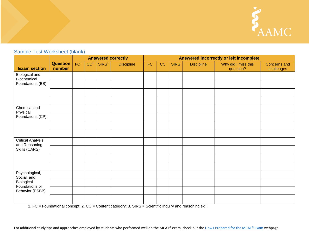

# Sample Test Worksheet (blank)

|                                           |                           | <b>Answered correctly</b> |                 |                   |                   | Answered incorrectly or left incomplete |    |             |                   |                                  |                                   |
|-------------------------------------------|---------------------------|---------------------------|-----------------|-------------------|-------------------|-----------------------------------------|----|-------------|-------------------|----------------------------------|-----------------------------------|
| <b>Exam section</b>                       | <b>Question</b><br>number | FC <sup>1</sup>           | CC <sup>2</sup> | SIRS <sup>3</sup> | <b>Discipline</b> | <b>FC</b>                               | CC | <b>SIRS</b> | <b>Discipline</b> | Why did I miss this<br>question? | <b>Concerns and</b><br>challenges |
| Biological and<br>Biochemical             |                           |                           |                 |                   |                   |                                         |    |             |                   |                                  |                                   |
| Foundations (BB)                          |                           |                           |                 |                   |                   |                                         |    |             |                   |                                  |                                   |
|                                           |                           |                           |                 |                   |                   |                                         |    |             |                   |                                  |                                   |
|                                           |                           |                           |                 |                   |                   |                                         |    |             |                   |                                  |                                   |
| Chemical and<br>Physical                  |                           |                           |                 |                   |                   |                                         |    |             |                   |                                  |                                   |
| Foundations (CP)                          |                           |                           |                 |                   |                   |                                         |    |             |                   |                                  |                                   |
|                                           |                           |                           |                 |                   |                   |                                         |    |             |                   |                                  |                                   |
|                                           |                           |                           |                 |                   |                   |                                         |    |             |                   |                                  |                                   |
| <b>Critical Analysis</b><br>and Reasoning |                           |                           |                 |                   |                   |                                         |    |             |                   |                                  |                                   |
| Skills (CARS)                             |                           |                           |                 |                   |                   |                                         |    |             |                   |                                  |                                   |
|                                           |                           |                           |                 |                   |                   |                                         |    |             |                   |                                  |                                   |
|                                           |                           |                           |                 |                   |                   |                                         |    |             |                   |                                  |                                   |
| Psychological,<br>Social, and             |                           |                           |                 |                   |                   |                                         |    |             |                   |                                  |                                   |
| Biological<br>Foundations of              |                           |                           |                 |                   |                   |                                         |    |             |                   |                                  |                                   |
| Behavior (PSBB)                           |                           |                           |                 |                   |                   |                                         |    |             |                   |                                  |                                   |
|                                           |                           |                           |                 |                   |                   |                                         |    |             |                   |                                  |                                   |

1. FC = Foundational concept; 2. CC = Content category; 3. SIRS = Scientific inquiry and reasoning skill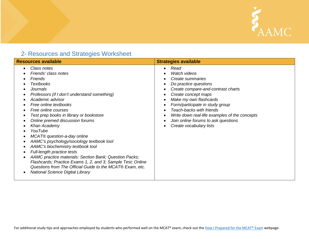

# <span id="page-20-1"></span>2- Resources and Strategies Worksheet

<span id="page-20-0"></span>

| <b>Resources available</b>                                                                                                                                                                                                                                                                                                                                                                                                                                                                                                                                                                                                                                                                         | <b>Strategies available</b>                                                                                                                                                                                                                                                                                                                |
|----------------------------------------------------------------------------------------------------------------------------------------------------------------------------------------------------------------------------------------------------------------------------------------------------------------------------------------------------------------------------------------------------------------------------------------------------------------------------------------------------------------------------------------------------------------------------------------------------------------------------------------------------------------------------------------------------|--------------------------------------------------------------------------------------------------------------------------------------------------------------------------------------------------------------------------------------------------------------------------------------------------------------------------------------------|
| Class notes<br>Friends' class notes<br>Friends<br><b>Textbooks</b><br><b>Journals</b><br>Professors (if I don't understand something)<br>Academic advisor<br>Free online textbooks<br>Free online courses<br>Test prep books in library or bookstore<br>Online premed discussion forums<br>Khan Academy<br>YouTube<br>MCAT® question-a-day online<br>AAMC's psychology/sociology textbook tool<br>AAMC's biochemistry textbook tool<br>Full-length practice tests<br>AAMC practice materials: Section Bank; Question Packs;<br>Flashcards; Practice Exams 1, 2, and 3; Sample Test; Online<br>Questions from The Official Guide to the MCAT® Exam, etc.<br><b>National Science Digital Library</b> | Read<br>Watch videos<br>Create summaries<br>Do practice questions<br>Create compare-and-contrast charts<br>Create concept maps<br>Make my own flashcards<br>Form/participate in study group<br>Teach-backs with friends<br>Write down real-life examples of the concepts<br>Join online forums to ask questions<br>Create vocabulary lists |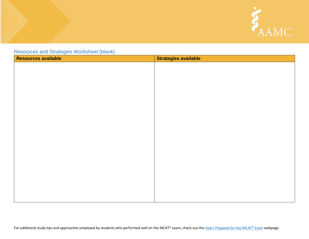

Resources and Strategies Worksheet (blank)

| <b>Resources available</b> | <b>Strategies available</b> |
|----------------------------|-----------------------------|
|                            |                             |
|                            |                             |
|                            |                             |
|                            |                             |
|                            |                             |
|                            |                             |
|                            |                             |
|                            |                             |
|                            |                             |
|                            |                             |
|                            |                             |
|                            |                             |
|                            |                             |
|                            |                             |
|                            |                             |
|                            |                             |
|                            |                             |
|                            |                             |
|                            |                             |
|                            |                             |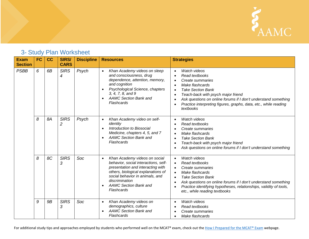

# <span id="page-22-1"></span>3- Study Plan Worksheet

<span id="page-22-0"></span>

| <b>Exam</b><br><b>Section</b> | <b>FC</b> | cc        | <b>SIRS/</b><br><b>CARS</b> | <b>Discipline</b> | <b>Resources</b>                                                                                                                                                                                                                                                              | <b>Strategies</b>                                                                                                                                                                                                                                                                                                                                                               |
|-------------------------------|-----------|-----------|-----------------------------|-------------------|-------------------------------------------------------------------------------------------------------------------------------------------------------------------------------------------------------------------------------------------------------------------------------|---------------------------------------------------------------------------------------------------------------------------------------------------------------------------------------------------------------------------------------------------------------------------------------------------------------------------------------------------------------------------------|
| <b>PSBB</b>                   | 6         | 6B        | <b>SIRS</b><br>4            | Psych             | Khan Academy videos on sleep<br>$\bullet$<br>and consciousness, drug<br>dependence, attention, memory,<br>and cognition<br>Psychological Science, chapters<br>$\bullet$<br>3, 4, 7, 8, and 9<br><b>AAMC Section Bank and</b><br>$\bullet$<br>Flashcards                       | <b>Watch videos</b><br>$\bullet$<br>Read textbooks<br>$\bullet$<br>Create summaries<br>$\bullet$<br>Make flashcards<br>$\bullet$<br><b>Take Section Bank</b><br>$\bullet$<br>Teach-back with psych major friend<br>$\bullet$<br>Ask questions on online forums if I don't understand something<br>Practice interpreting figures, graphs, data, etc., while reading<br>textbooks |
|                               | 8         | 8A        | <b>SIRS</b><br>2            | Psych             | Khan Academy video on self-<br>$\bullet$<br>identity<br>Introduction to Biosocial<br>$\bullet$<br>Medicine, chapters 4, 5, and 7<br><b>AAMC Section Bank and</b><br>$\bullet$<br>Flashcards                                                                                   | Watch videos<br>$\bullet$<br>Read textbooks<br>Create summaries<br>Make flashcards<br>$\bullet$<br><b>Take Section Bank</b><br>$\bullet$<br>Teach-back with psych major friend<br>Ask questions on online forums if I don't understand something                                                                                                                                |
|                               | 8         | 8C        | <b>SIRS</b><br>3            | Soc               | Khan Academy videos on social<br>$\bullet$<br>behavior, social interactions, self-<br>presentation and interacting with<br>others, biological explanations of<br>social behavior in animals, and<br>discrimination<br><b>AAMC Section Bank and</b><br>$\bullet$<br>Flashcards | Watch videos<br>$\bullet$<br>Read textbooks<br>$\bullet$<br>Create summaries<br>Make flashcards<br><b>Take Section Bank</b><br>$\bullet$<br>Ask questions on online forums if I don't understand something<br>Practice identifying hypotheses, relationships, validity of tools,<br>etc., while reading textbooks                                                               |
|                               | 9         | <b>9B</b> | <b>SIRS</b><br>3            | Soc               | Khan Academy videos on<br>$\bullet$<br>demographics, culture<br><b>AAMC Section Bank and</b><br>Flashcards                                                                                                                                                                    | Watch videos<br>$\bullet$<br>Read textbooks<br>Create summaries<br>Make flashcards                                                                                                                                                                                                                                                                                              |

For additional study tips and approaches employed by students who performed well on the MCAT® exam, check out th[e How I Prepared for the MCAT® Exam](https://students-residents.aamc.org/applying-medical-school/taking-mcat-exam/how-i-prepared-mcat-exam/) webpage.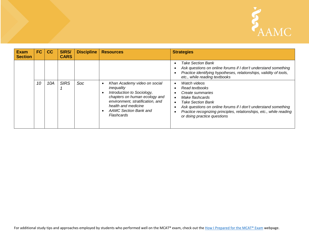

| <b>Exam</b><br><b>Section</b> | FC | cc  | SIRS/<br><b>CARS</b> | <b>Discipline</b> | <b>Resources</b>                                                                                                                                                                                                         | <b>Strategies</b>                                                                                                                                                                                                                                                         |
|-------------------------------|----|-----|----------------------|-------------------|--------------------------------------------------------------------------------------------------------------------------------------------------------------------------------------------------------------------------|---------------------------------------------------------------------------------------------------------------------------------------------------------------------------------------------------------------------------------------------------------------------------|
|                               |    |     |                      |                   |                                                                                                                                                                                                                          | Take Section Bank<br>Ask questions on online forums if I don't understand something<br>Practice identifying hypotheses, relationships, validity of tools,<br>etc., while reading textbooks                                                                                |
|                               | 10 | 10A | <b>SIRS</b>          | Soc               | Khan Academy video on social<br>$\bullet$<br>inequality<br>Introduction to Sociology,<br>chapters on human ecology and<br>environment, stratification, and<br>health and medicine<br>AAMC Section Bank and<br>Flashcards | Watch videos<br>Read textbooks<br>Create summaries<br>Make flashcards<br><b>Take Section Bank</b><br>Ask questions on online forums if I don't understand something<br>Practice recognizing principles, relationships, etc., while reading<br>or doing practice questions |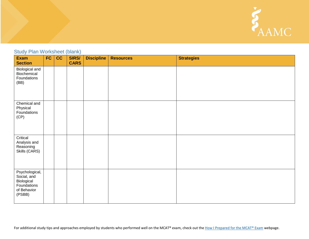

## Study Plan Worksheet (blank)

| Exam<br><b>Section</b>                                                              | FC | cc | <b>SIRS/</b><br><b>CARS</b> | <b>Discipline</b> | <b>Resources</b> | <b>Strategies</b> |
|-------------------------------------------------------------------------------------|----|----|-----------------------------|-------------------|------------------|-------------------|
| Biological and<br>Biochemical<br>Foundations<br>(BB)                                |    |    |                             |                   |                  |                   |
| Chemical and<br>Physical<br>Foundations<br>(CP)                                     |    |    |                             |                   |                  |                   |
| Critical<br>Analysis and<br>Reasoning<br>Skills (CARS)                              |    |    |                             |                   |                  |                   |
| Psychological,<br>Social, and<br>Biological<br>Foundations<br>of Behavior<br>(PSBB) |    |    |                             |                   |                  |                   |

For additional study tips and approaches employed by students who performed well on the MCAT® exam, check out th[e How I Prepared for the MCAT® Exam](https://students-residents.aamc.org/applying-medical-school/taking-mcat-exam/how-i-prepared-mcat-exam/) webpage.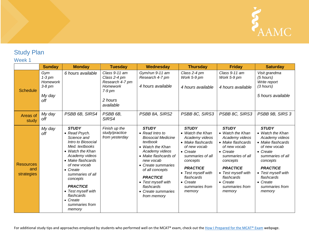

# <span id="page-25-1"></span>Study Plan

## Week 1

<span id="page-25-0"></span>

|                                       | <b>Sunday</b>                                            | <b>Monday</b>                                                                                                                                                                                                                                                                                                              | <b>Tuesday</b>                                                                                   | Wednesday                                                                                                                                                                                                                                                                                | <b>Thursday</b>                                                                                                                                                                                                                                    | <b>Friday</b>                                                                                                                                                                                                                                      | <b>Saturday</b>                                                                                                                                                                                                                                    |
|---------------------------------------|----------------------------------------------------------|----------------------------------------------------------------------------------------------------------------------------------------------------------------------------------------------------------------------------------------------------------------------------------------------------------------------------|--------------------------------------------------------------------------------------------------|------------------------------------------------------------------------------------------------------------------------------------------------------------------------------------------------------------------------------------------------------------------------------------------|----------------------------------------------------------------------------------------------------------------------------------------------------------------------------------------------------------------------------------------------------|----------------------------------------------------------------------------------------------------------------------------------------------------------------------------------------------------------------------------------------------------|----------------------------------------------------------------------------------------------------------------------------------------------------------------------------------------------------------------------------------------------------|
| <b>Schedule</b>                       | Gym<br>$1-3$ pm<br>Homework<br>$3-8$ pm<br>My day<br>off | 6 hours available                                                                                                                                                                                                                                                                                                          | Class 9-11 am<br>Class 2-4 pm<br>Research 4-7 pm<br>Homework<br>$7-9$ pm<br>2 hours<br>available | Gym/run 9-11 am<br>Research 4-7 pm<br>4 hours available                                                                                                                                                                                                                                  | Class 2-4 pm<br>Work 5-9 pm<br>4 hours available                                                                                                                                                                                                   | Class 9-11 am<br>Work 5-9 pm<br>4 hours available                                                                                                                                                                                                  | Visit grandma<br>$(5$ hours)<br>Write report<br>(3 hours)<br>5 hours available                                                                                                                                                                     |
| Areas of<br>study                     | My day<br>off                                            | PSBB 6B, SIRS4                                                                                                                                                                                                                                                                                                             | PSBB 6B,<br>SIRS4                                                                                | PSBB 8A, SIRS2                                                                                                                                                                                                                                                                           | PSBB 8C, SIRS3                                                                                                                                                                                                                                     | PSBB 8C, SIRS3                                                                                                                                                                                                                                     | PSBB 9B, SIRS 3                                                                                                                                                                                                                                    |
| <b>Resources</b><br>and<br>strategies | My day<br>off                                            | <b>STUDY</b><br>• Read Psych.<br>Science and<br>Intro to Biosocial<br>Med. textbooks<br>• Watch the Khan<br>Academy videos<br>• Make flashcards<br>of new vocab<br>$\bullet$ Create<br>summaries of all<br>concepts<br><b>PRACTICE</b><br>• Test myself with<br>flashcards<br>$\bullet$ Create<br>summaries from<br>memory | Finish up the<br>study/practice<br>from yesterday                                                | <b>STUDY</b><br>• Read Intro to<br><b>Biosocial Medicine</b><br>textbook<br>• Watch the Khan<br>Academy videos<br>• Make flashcards of<br>new vocab<br>• Create summaries<br>of all concepts<br><b>PRACTICE</b><br>• Test myself with<br>flashcards<br>• Create summaries<br>from memory | <b>STUDY</b><br>• Watch the Khan<br>Academy videos<br>• Make flashcards<br>of new vocab<br>$\bullet$ Create<br>summaries of all<br>concepts<br><b>PRACTICE</b><br>• Test myself with<br>flashcards<br>$\bullet$ Create<br>summaries from<br>memory | <b>STUDY</b><br>• Watch the Khan<br>Academy videos<br>• Make flashcards<br>of new vocab<br>$\bullet$ Create<br>summaries of all<br>concepts<br><b>PRACTICE</b><br>• Test myself with<br>flashcards<br>$\bullet$ Create<br>summaries from<br>memory | <b>STUDY</b><br>• Watch the Khan<br>Academy videos<br>• Make flashcards<br>of new vocab<br>$\bullet$ Create<br>summaries of all<br>concepts<br><b>PRACTICE</b><br>• Test myself with<br>flashcards<br>$\bullet$ Create<br>summaries from<br>memory |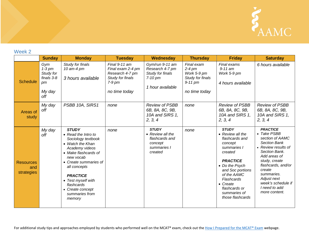

## Week 2

|                                       | <b>Sunday</b>                                                     | <b>Monday</b>                                                                                                                                                                                                                                                                        | <b>Tuesday</b>                                                                                           | Wednesday                                                                               | <b>Thursday</b>                                                                         | <b>Friday</b>                                                                                                                                                                                                                                  | <b>Saturday</b>                                                                                                                                                                                                                                                        |
|---------------------------------------|-------------------------------------------------------------------|--------------------------------------------------------------------------------------------------------------------------------------------------------------------------------------------------------------------------------------------------------------------------------------|----------------------------------------------------------------------------------------------------------|-----------------------------------------------------------------------------------------|-----------------------------------------------------------------------------------------|------------------------------------------------------------------------------------------------------------------------------------------------------------------------------------------------------------------------------------------------|------------------------------------------------------------------------------------------------------------------------------------------------------------------------------------------------------------------------------------------------------------------------|
| <b>Schedule</b>                       | Gym<br>$1-3$ pm<br>Study for<br>finals 3-8<br>pm<br>My day<br>off | Study for finals<br>10 am-4 pm<br>3 hours available                                                                                                                                                                                                                                  | Final $9-11$ am<br>Final exam 2-4 pm<br>Research 4-7 pm<br>Study for finals<br>$7-9$ pm<br>no time today | Gym/run 9-11 am<br>Research 4-7 pm<br>Study for finals<br>$7-10$ pm<br>1 hour available | Final exam<br>$2-4$ pm<br>Work 5-9 pm<br>Study for finals<br>$9-11$ pm<br>no time today | Final exams<br>$9-11$ am<br>Work 5-9 pm<br>4 hours available                                                                                                                                                                                   | 6 hours available                                                                                                                                                                                                                                                      |
| Areas of<br>study                     | My day<br>off                                                     | PSBB 10A, SIRS1                                                                                                                                                                                                                                                                      | none                                                                                                     | <b>Review of PSBB</b><br>6B, 8A, 8C, 9B,<br>10A and SIRS 1,<br>2, 3, 4                  | none                                                                                    | <b>Review of PSBB</b><br>6B, 8A, 8C, 9B,<br>10A and SIRS 1,<br>2, 3, 4                                                                                                                                                                         | <b>Review of PSBB</b><br>6B, 8A, 8C, 9B,<br>10A and SIRS 1,<br>2, 3, 4                                                                                                                                                                                                 |
| <b>Resources</b><br>and<br>strategies | My day<br>off                                                     | <b>STUDY</b><br>• Read the Intro to<br>Sociology textbook<br>• Watch the Khan<br>Academy videos<br>• Make flashcards of<br>new vocab<br>• Create summaries of<br>all concepts<br><b>PRACTICE</b><br>• Test myself with<br>flashcards<br>• Create concept<br>summaries from<br>memory | none                                                                                                     | <b>STUDY</b><br>• Review all the<br>flashcards and<br>concept<br>summaries I<br>created | none                                                                                    | <b>STUDY</b><br>• Review all the<br>flashcards and<br>concept<br>summaries I<br>created<br><b>PRACTICE</b><br>• Do the Psych<br>and Soc portions<br>of the AAMC<br>Flashcards<br>• Create<br>flashcards or<br>summaries of<br>those flashcards | <b>PRACTICE</b><br>• Take PSBB<br>section of AAMC<br><b>Section Bank</b><br>• Review results of<br>Section Bank.<br>Add areas of<br>study, create<br>flashcards, and/or<br>create<br>summaries.<br>Adjust next<br>week's schedule if<br>I need to add<br>more content. |